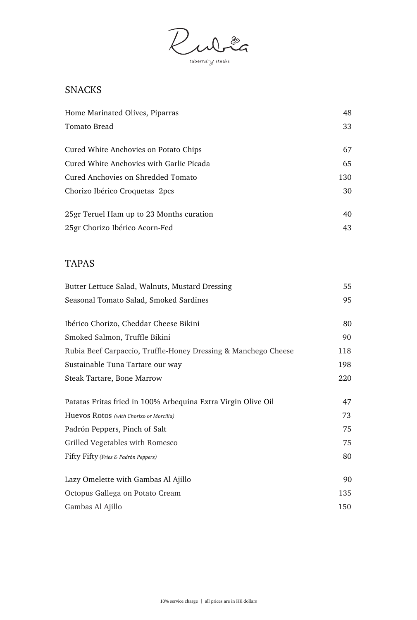Ruble taberna $\overline{\mathcal{Y}}$  steaks

# **SNACKS**

| Home Marinated Olives, Piparras           | 48  |
|-------------------------------------------|-----|
| Tomato Bread                              | 33  |
| Cured White Anchovies on Potato Chips     | 67  |
| Cured White Anchovies with Garlic Picada  | 65  |
| <b>Cured Anchovies on Shredded Tomato</b> | 130 |
| Chorizo Ibérico Croquetas 2pcs            | 30  |
| 25gr Teruel Ham up to 23 Months curation  | 40  |
| 25gr Chorizo Ibérico Acorn-Fed            | 43  |

### TAPAS

| Butter Lettuce Salad, Walnuts, Mustard Dressing                | 55  |
|----------------------------------------------------------------|-----|
| Seasonal Tomato Salad, Smoked Sardines                         | 95  |
| Ibérico Chorizo, Cheddar Cheese Bikini                         | 80  |
| Smoked Salmon, Truffle Bikini                                  | 90  |
| Rubia Beef Carpaccio, Truffle-Honey Dressing & Manchego Cheese | 118 |
| Sustainable Tuna Tartare our way                               | 198 |
| <b>Steak Tartare, Bone Marrow</b>                              | 220 |
| Patatas Fritas fried in 100% Arbequina Extra Virgin Olive Oil  | 47  |
| Huevos Rotos (with Chorizo or Morcilla)                        | 73  |
| Padrón Peppers, Pinch of Salt                                  | 75  |
| Grilled Vegetables with Romesco                                | 75  |
| Fifty Fifty (Fries & Padrón Peppers)                           | 80  |
| Lazy Omelette with Gambas Al Ajillo                            | 90  |
| Octopus Gallega on Potato Cream                                | 135 |
| Gambas Al Ajillo                                               | 150 |